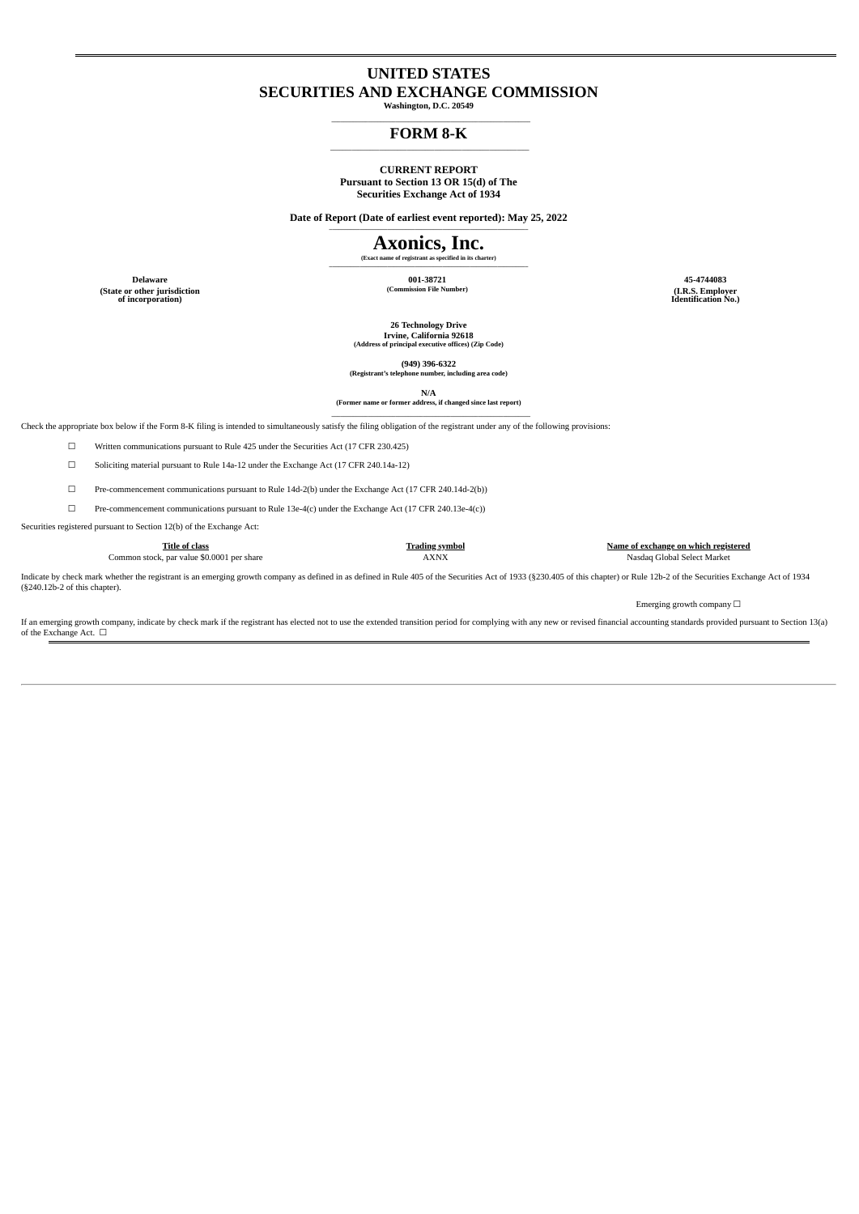# **UNITED STATES SECURITIES AND EXCHANGE COMMISSION**

**Washington, D.C. 20549 \_\_\_\_\_\_\_\_\_\_\_\_\_\_\_\_\_\_\_\_\_\_\_\_\_\_\_\_\_\_\_\_\_\_\_\_\_\_\_\_\_\_\_\_\_\_\_\_\_\_\_\_\_\_\_\_\_\_\_\_\_\_\_\_\_**

#### **FORM 8-K \_\_\_\_\_\_\_\_\_\_\_\_\_\_\_\_\_\_\_\_\_\_\_\_\_\_\_\_\_\_\_\_\_\_\_\_\_\_\_\_\_\_\_\_\_\_\_\_\_\_\_\_\_\_\_\_\_\_\_\_\_\_\_\_\_**

# **CURRENT REPORT**

**Pursuant to Section 13 OR 15(d) of The Securities Exchange Act of 1934**

**Date of Report (Date of earliest event reported): May 25, 2022 \_\_\_\_\_\_\_\_\_\_\_\_\_\_\_\_\_\_\_\_\_\_\_\_\_\_\_\_\_\_\_\_\_\_\_\_\_\_\_\_\_\_\_\_\_\_\_\_\_\_\_\_\_\_\_\_\_\_\_\_\_\_\_\_\_**

#### **Axonics, Inc. (Exact name of registrant as specified in its charter) \_\_\_\_\_\_\_\_\_\_\_\_\_\_\_\_\_\_\_\_\_\_\_\_\_\_\_\_\_\_\_\_\_\_\_\_\_\_\_\_\_\_\_\_\_\_\_\_\_\_\_\_\_\_\_\_\_\_\_\_\_\_\_\_\_**

**Delaware 001-38721 45-4744083 (Commission File Number) (I.R.S. Employer Identification No.)**

**(State or other jurisdiction of incorporation)**

**26 Technology Drive Irvine, California 92618 (Address of principal executive offices) (Zip Code)**

**(949) 396-6322 (Registrant's telephone number, including area code)**

**N/A (Former name or former address, if changed since last report)**

**\_\_\_\_\_\_\_\_\_\_\_\_\_\_\_\_\_\_\_\_\_\_\_\_\_\_\_\_\_\_\_\_\_\_\_\_\_\_\_\_\_\_\_\_\_\_\_\_\_\_\_\_\_\_\_\_\_\_\_\_\_\_\_\_\_** Check the appropriate box below if the Form 8-K filing is intended to simultaneously satisfy the filing obligation of the registrant under any of the following provisions:

☐ Written communications pursuant to Rule 425 under the Securities Act (17 CFR 230.425)

 $\Box$  Soliciting material pursuant to Rule 14a-12 under the Exchange Act (17 CFR 240.14a-12)

☐ Pre-commencement communications pursuant to Rule 14d-2(b) under the Exchange Act (17 CFR 240.14d-2(b))

☐ Pre-commencement communications pursuant to Rule 13e-4(c) under the Exchange Act (17 CFR 240.13e-4(c))

Securities registered pursuant to Section 12(b) of the Exchange Act:

**Title of class Trading symbol Name of exchange on which registered** Common stock, par value \$0.0001 per share

Indicate by check mark whether the registrant is an emerging growth company as defined in as defined in Rule 405 of the Securities Act of 1933 (§230.405 of this chapter) or Rule 12b-2 of the Securities Exchange Act of 1934 (§240.12b-2 of this chapter).

Emerging growth company  $\Box$ 

If an emerging growth company, indicate by check mark if the registrant has elected not to use the extended transition period for complying with any new or revised financial accounting standards provided pursuant to Sectio of the Exchange Act.  $\Box$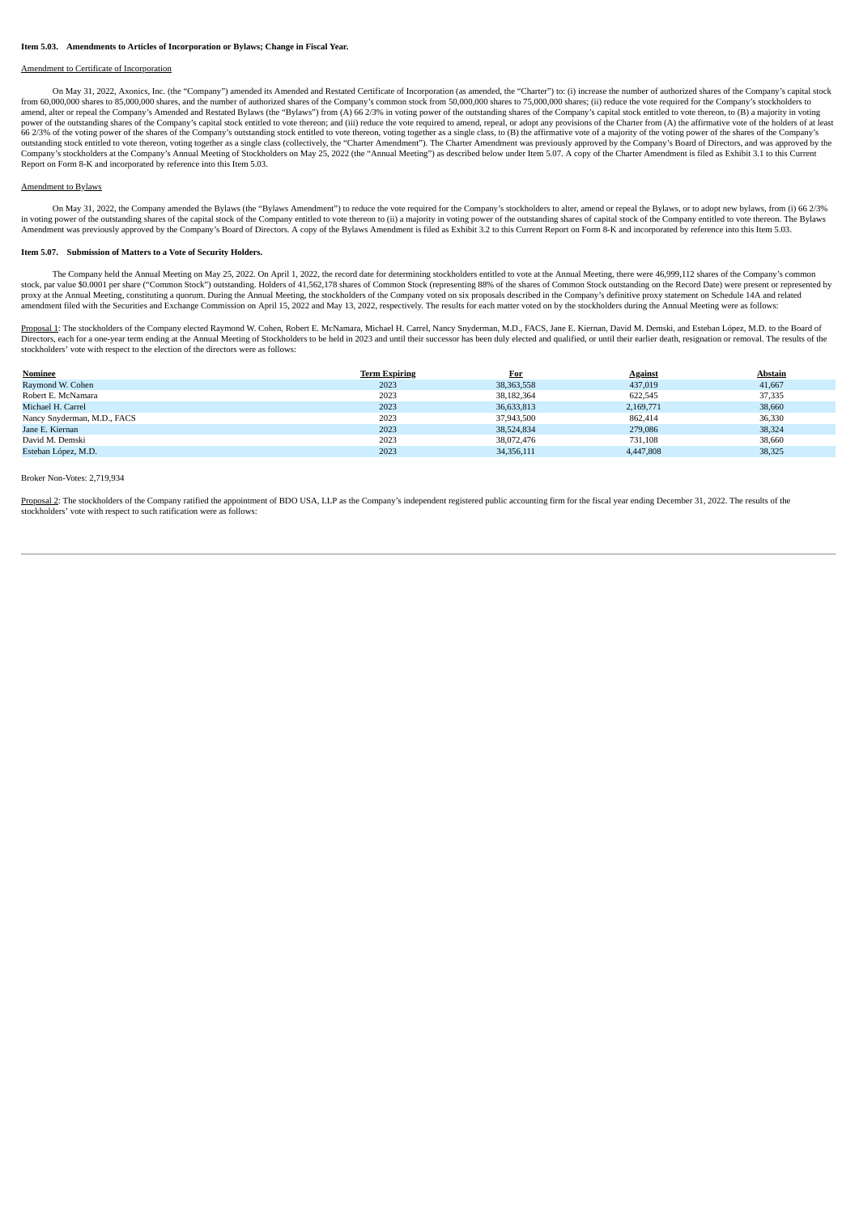#### **Item 5.03. Amendments to Articles of Incorporation or Bylaws; Change in Fiscal Year.**

#### Amendment to Certificate of Incorporation

On May 31, 2022, Axonics, Inc. (the "Company") amended its Amended and Restated Certificate of Incorporation (as amended, the "Charter") to: (i) increase the number of authorized shares of the Company's capital stock from 60,000,000 shares to 85,000,000 shares, and the number of authorized shares of the Company's common stock from 50,000,000 shares to 75,000,000 shares; (ii) reduce the vote required for the Company's stockholders to amend, alter or repeal the Company's Amended and Restated Bylaws (the "Bylaws") from (A) 66 2/3% in voting power of the outstanding shares of the Company's capital stock entitled to vote thereon, to (B) a majority in votin numerous company of the Company's capital stock entitled to yote thereon; and (iii) reduce the vote required to amend, repeal, or adopt any provisions of the Charter from (A) the affirmative vote of the holders of at least 66 2/3% of the voting power of the shares of the Company's outstanding stock entitled to vote thereon, voting together as a single class, to (B) the affirmative vote of a majority of the voting power of the shares of the C Company's stockholders at the Company's Annual Meeting of Stockholders on May 25, 2022 (the "Annual Meeting") as described below under Item 5.07. A copy of the Charter Amendment is filed as Exhibit 3.1 to this Current Report on Form 8-K and incorporated by reference into this Item 5.03.

#### Amendment to Bylaws

On May 31, 2022, the Company amended the Bylaws (the "Bylaws Amendment") to reduce the vote required for the Company's stockholders to alter, amend or repeal the Bylaws, or to adopt new bylaws, from (i) 66 2/3% in voting power of the outstanding shares of the capital stock of the Company entitled to vote thereon to (ii) a majority in voting power of the outstanding shares of capital stock of the Company entitled to vote thereon. Amendment was previously approved by the Company's Board of Directors. A copy of the Bylaws Amendment is filed as Exhibit 3.2 to this Current Report on Form 8-K and incorporated by reference into this Item 5.03.

#### **Item 5.07. Submission of Matters to a Vote of Security Holders.**

The Company held the Annual Meeting on May 25, 2022. On April 1, 2022, the record date for determining stockholders entitled to vote at the Annual Meeting, there were 46,999,112 shares of the Company's common stock, par value \$0.0001 per share ("Common Stock") outstanding. Holders of 41,562,178 shares of Common Stock (representing 88% of the shares of Common Stock outstanding on the Record Date) were present or represented by<br>p amendment filed with the Securities and Exchange Commission on April 15, 2022 and May 13, 2022, respectively. The results for each matter voted on by the stockholders during the Annual Meeting were as follows:

Proposal 1: The stockholders of the Company elected Raymond W. Cohen, Robert E. McNamara, Michael H. Carrel, Nancy Snyderman, M.D., FACS, Jane E. Kiernan, David M. Demski, and Esteban López, M.D. to the Board of Directors, each for a one-year term ending at the Annual Meeting of Stockholders to be held in 2023 and until their successor has been duly elected and qualified, or until their earlier death, resignation or removal. The r stockholders' vote with respect to the election of the directors were as follows:

| Nominee                     | <b>Term Expiring</b> | <b>For</b> | <b>Against</b> | <b>Abstain</b> |
|-----------------------------|----------------------|------------|----------------|----------------|
| Raymond W. Cohen            | 2023                 | 38,363,558 | 437,019        | 41.667         |
| Robert E. McNamara          | 2023                 | 38,182,364 | 622.545        | 37,335         |
| Michael H. Carrel           | 2023                 | 36,633,813 | 2,169,771      | 38,660         |
| Nancy Snyderman, M.D., FACS | 2023                 | 37,943,500 | 862,414        | 36,330         |
| Jane E. Kiernan             | 2023                 | 38,524,834 | 279,086        | 38,324         |
| David M. Demski             | 2023                 | 38,072,476 | 731,108        | 38,660         |
| Esteban López, M.D.         | 2023                 | 34,356,111 | 4,447,808      | 38,325         |

#### Broker Non-Votes: 2,719,934

Proposal 2: The stockholders of the Company ratified the appointment of BDO USA, LLP as the Company's independent registered public accounting firm for the fiscal year ending December 31, 2022. The results of the stockholders' vote with respect to such ratification were as follows: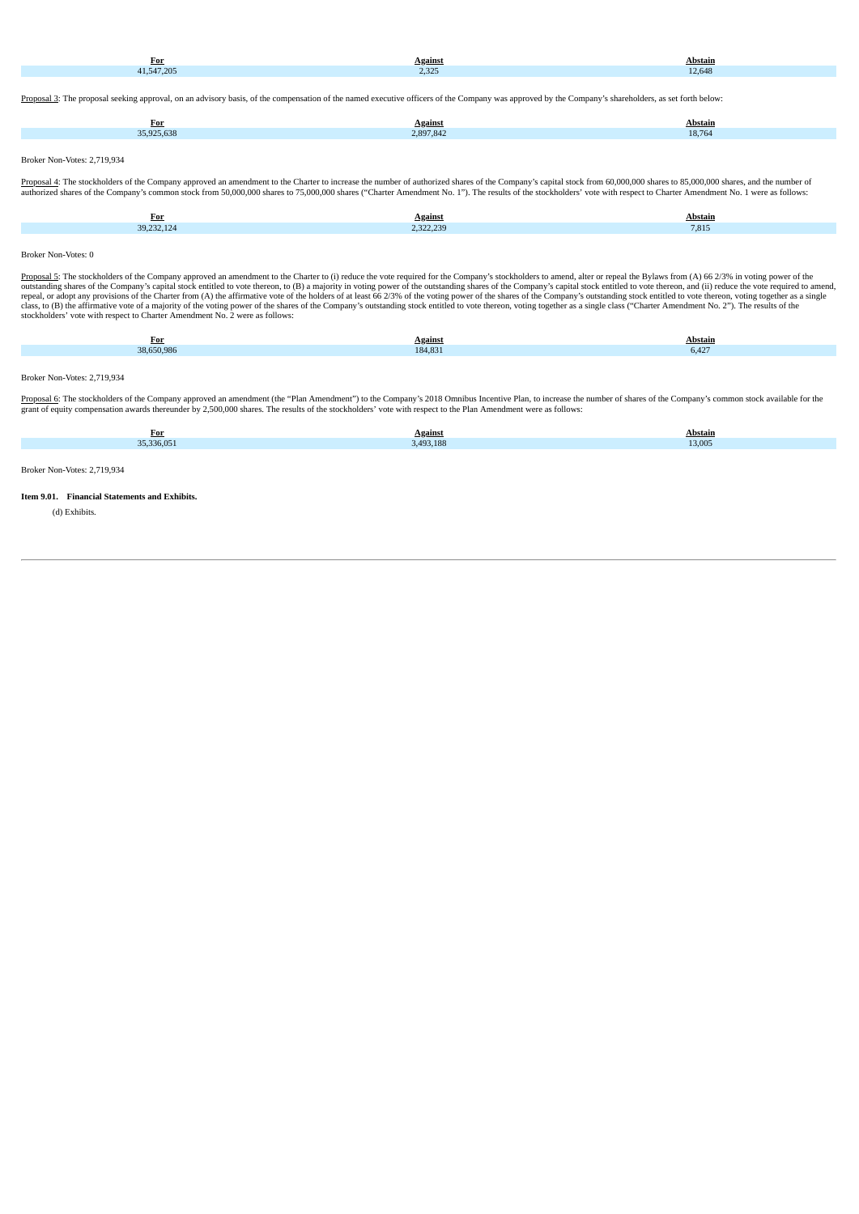| For       | <b>Against</b>  | Abstain  |
|-----------|-----------------|----------|
| 1.547.205 | 0.225<br>ے کروے | $-2.648$ |
|           |                 |          |

Proposal 3: The proposal seeking approval, on an advisory basis, of the compensation of the named executive officers of the Company was approved by the Company's shareholders, as set forth below:

| <u>For</u>                                                                             | <b>Against</b> | Abstain |
|----------------------------------------------------------------------------------------|----------------|---------|
| 35,925,638                                                                             | 2,897,842      | 18,764  |
|                                                                                        |                |         |
| $D_{\text{ref}}$ $M_{\text{ref}}$ $M_{\text{ref}}$ $M_{\text{ref}}$ $\theta$ $740.024$ |                |         |

Broker Non-Votes: 2,719,934

Proposal 4: The stockholders of the Company approved an amendment to the Charter to increase the number of authorized shares of the Company's capital stock from 60,000,000 shares to 85,000,000 shares, and the number of authorized shares of the Company's common stock from 50,000,000 shares to 75,000,000 shares ("Charter Amendment No. 1"). The results of the stockholders' vote with respect to Charter Amendment No. 1 were as follows:

| For | Against<br>--                                  | Abstain |
|-----|------------------------------------------------|---------|
| -12 | _______<br>222.222<br>$\overline{\phantom{a}}$ | 7,815   |

#### Broker Non-Votes: 0

Proposal 5: The stockholders of the Company approved an amendment to the Charter to (i) reduce the vote required for the Company's stockholders to amend, alter or repeal the Bylaws from (A) 66 2/3% in voting power of the c

| <b>For</b> | Against | Abstain |
|------------|---------|---------|
| 38,650,986 | 184,831 | 6,427   |
|            |         |         |

#### Broker Non-Votes: 2,719,934

P<u>roposal 6</u>: The stockholders of the Company approved an amendment (the "Plan Amendment") to the Company's 2018 Omnibus Incentive Plan, to increase the number of shares of the Company's common stock available for the<br>gran

| For<br>$ -$ | <u>Against</u> | <b>Abstain</b> |
|-------------|----------------|----------------|
| 35.336.051  | 493.188        | 13,005         |
|             |                |                |
|             |                |                |

Broker Non-Votes: 2,719,934

#### **Item 9.01. Financial Statements and Exhibits.**

(d) Exhibits.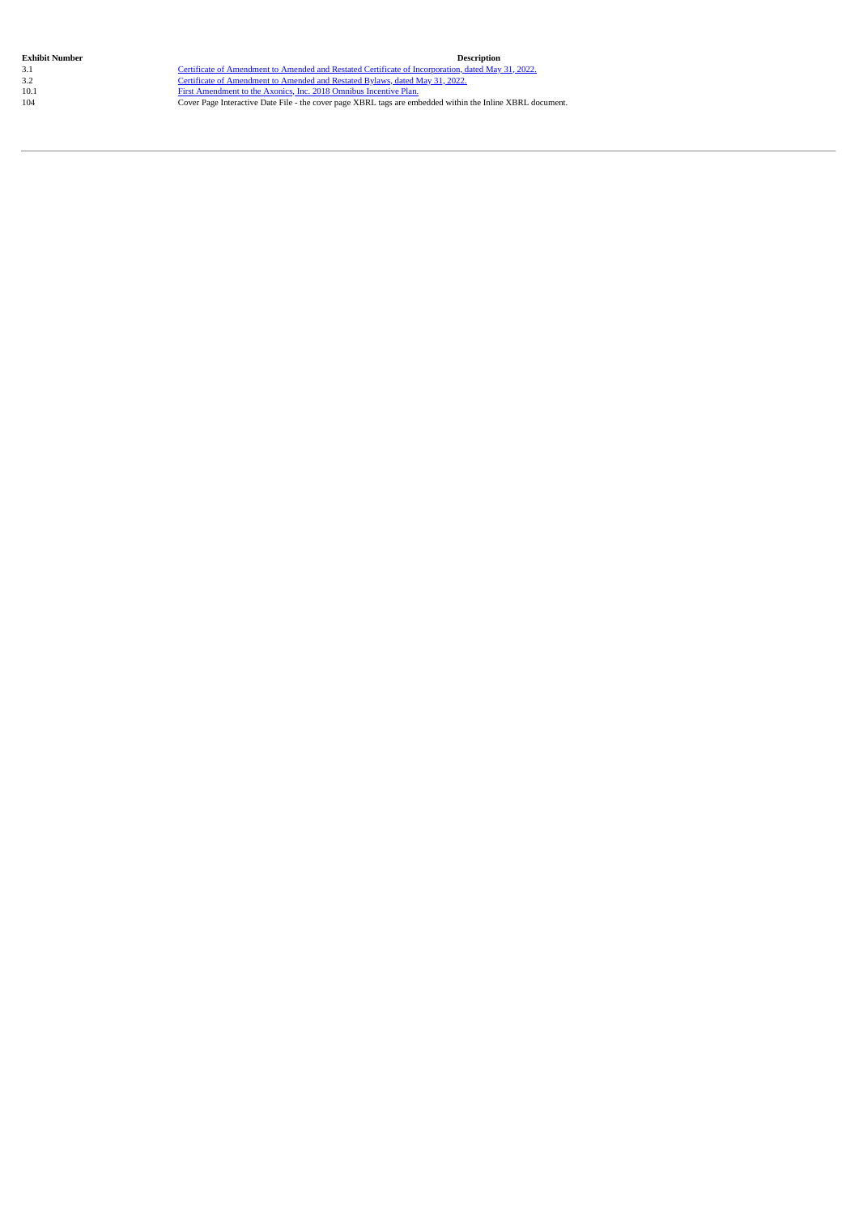Exhibit Number<br>
2.1 Certificate of Amendment to Amended and Restated Certificate of [Incorporation,](#page-5-0) dated May 31, 2022.<br>
2.2 Certificate of [Amendment](#page-8-0) to Amended and Restated Bylaws, dated May 31, 2022.<br>
2.2 Certificate of A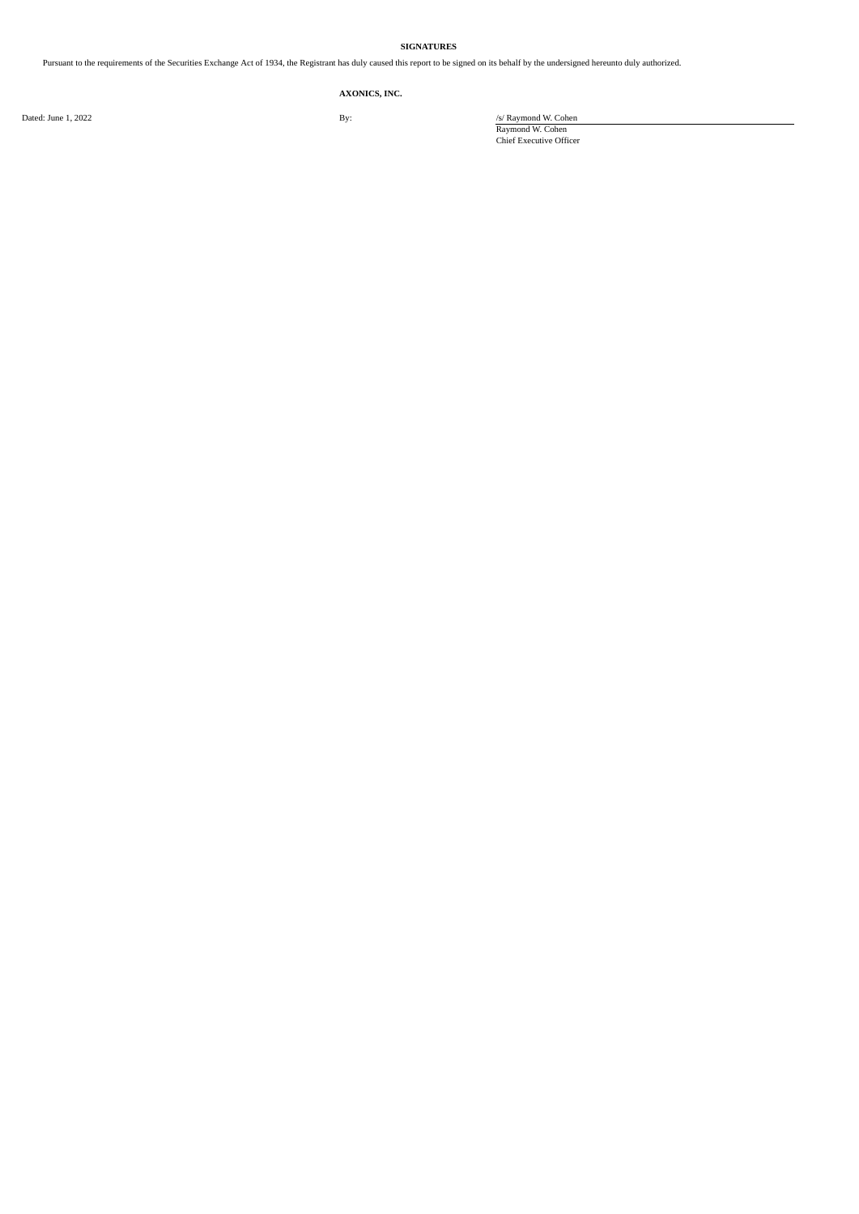### **SIGNATURES**

Pursuant to the requirements of the Securities Exchange Act of 1934, the Registrant has duly caused this report to be signed on its behalf by the undersigned hereunto duly authorized.

## **AXONICS, INC.**

Dated: June 1, 2022 **By:** *S/ Raymond W. Cohen* 

Raymond W. Cohen Chief Executive Officer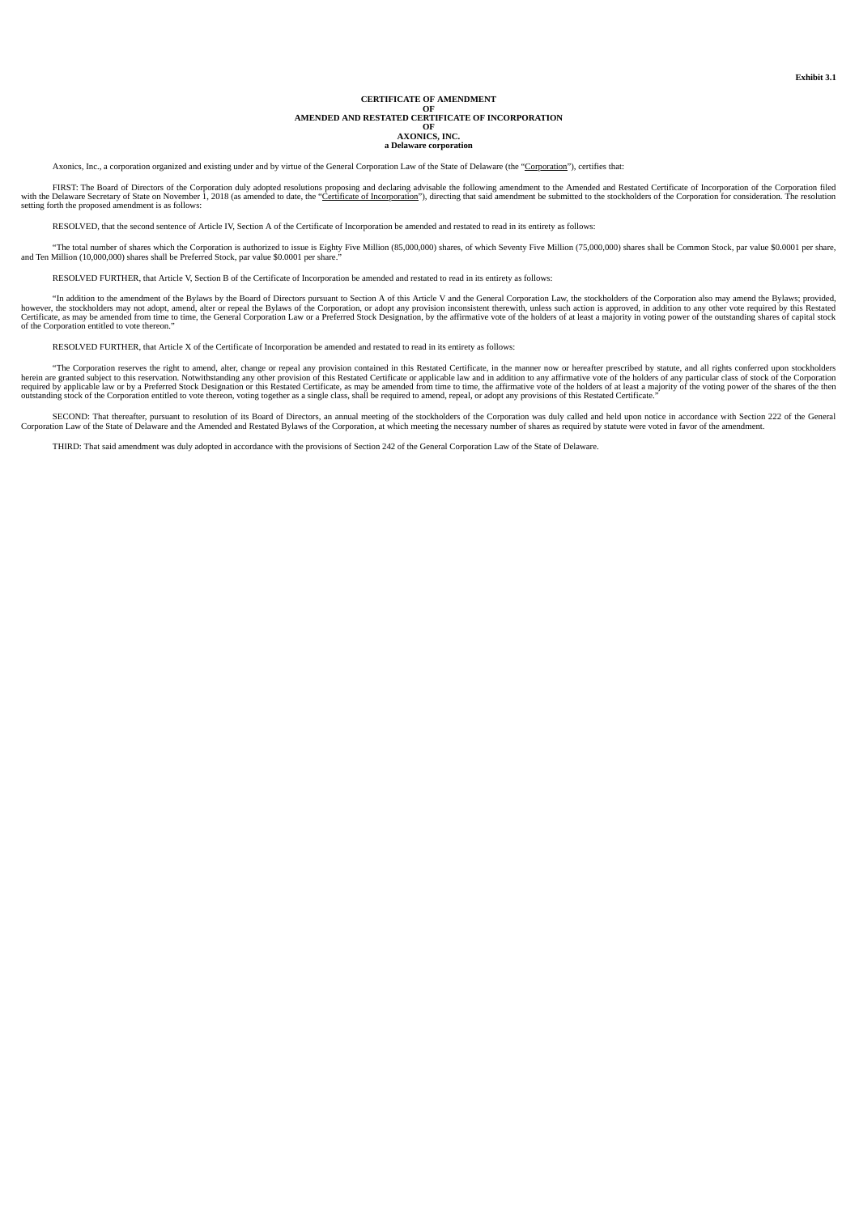# **CERTIFICATE OF AMENDMENT OF AMENDED AND RESTATED CERTIFICATE OF INCORPORATION OF AXONICS, INC.**

**a Delaware corporation**

<span id="page-5-0"></span>Axonics, Inc., a corporation organized and existing under and by virtue of the General Corporation Law of the State of Delaware (the "Corporation"), certifies that:

FIRST: The Board of Directors of the Corporation duly adopted resolutions proposing and declaring advisable the following amendment to the Amended and Restated Certificate of Incorporation of the Corporation filed with the Delaware Secretary of State on November 1, 2018 (as amended to date, the "<u>Certificate of Incorporation</u>"), directing that said amendment be submitted to the stockholders of the Corporation for consideration. The

RESOLVED, that the second sentence of Article IV, Section A of the Certificate of Incorporation be amended and restated to read in its entirety as follows:

"The total number of shares which the Corporation is authorized to issue is Eighty Five Million (85,000,000) shares, of which Seventy Five Million (75,000,000) shares shall be Common Stock, par value \$0.0001 per share,<br>and

RESOLVED FURTHER, that Article V, Section B of the Certificate of Incorporation be amended and restated to read in its entirety as follows:

"In addition to the amendment of the Bylaws by the Board of Directors pursuant to Section A of this Article V and the General Corporation Law, the stockholders of the Corporation also may amend the Bylaws; provided, however, the stockholders may not adopt, amend, alter or repeal the Bylaws of the Corporation, or adopt any provision inconsistent therewith, unless such action is approved, in addition to any other vote required by this R of the Corporation entitled to vote thereon."

RESOLVED FURTHER, that Article X of the Certificate of Incorporation be amended and restated to read in its entirety as follows:

"The Corporation reserves the right to amend, alter, change or repeal any provision contained in this Restated Certificate, in the manner now or hereafter prescribed by statute, and all rights conferred upon stockholders h outstanding stock of the Corporation entitled to vote thereon, voting together as a single class, shall be required to amend, repeal, or adopt any provisions of this Restated Certificate."

SECOND: That thereafter, pursuant to resolution of its Board of Directors, an annual meeting of the stockholders of the Corporation was duly called and held upon notice in accordance with Section 222 of the General Corporation Law of the State of Delaware and the Amended and Restated Bylaws of the Corporation, at which meeting the necessary number of shares as required by statute were voted in favor of the amendment

THIRD: That said amendment was duly adopted in accordance with the provisions of Section 242 of the General Corporation Law of the State of Delaware.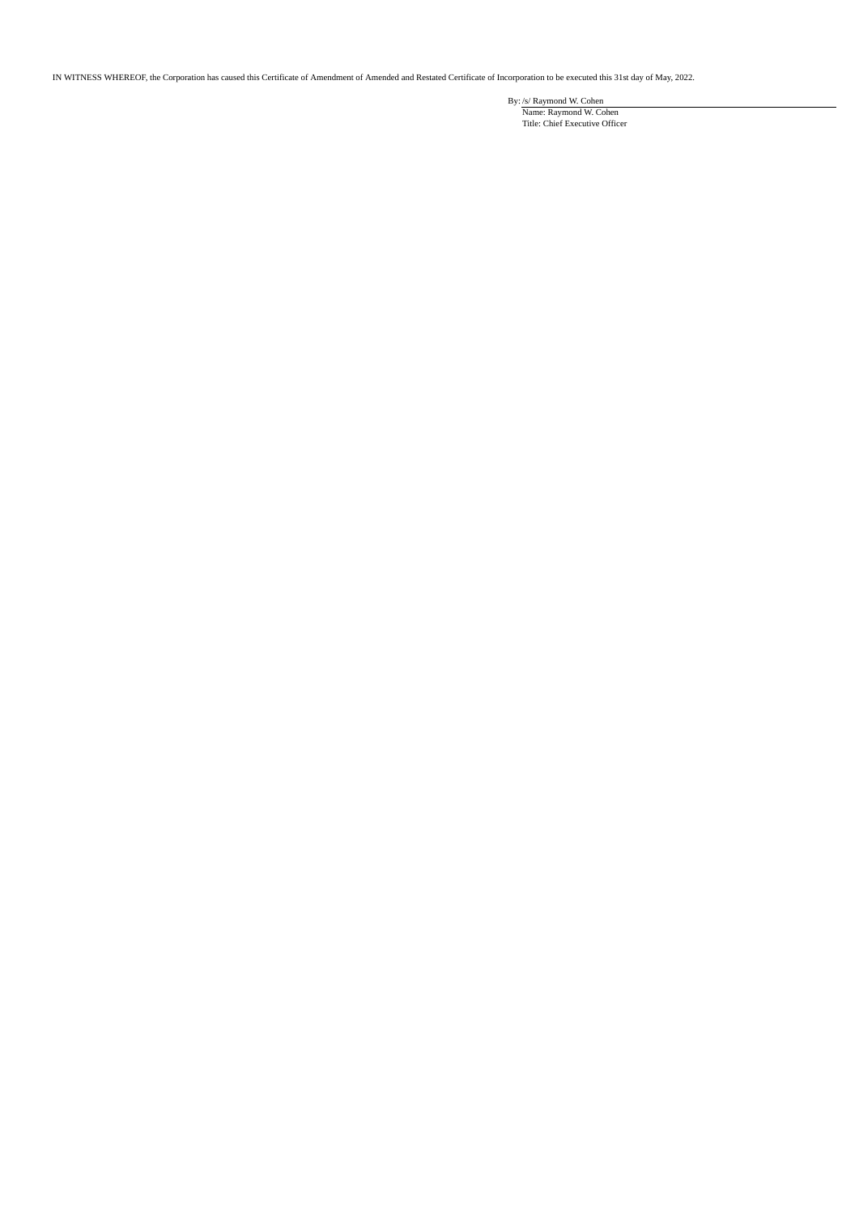IN WITNESS WHEREOF, the Corporation has caused this Certificate of Amendment of Amended and Restated Certificate of Incorporation to be executed this 31st day of May, 2022.

By: /s/ Raymond W. Cohen Name: Raymond W. Cohen Title: Chief Executive Officer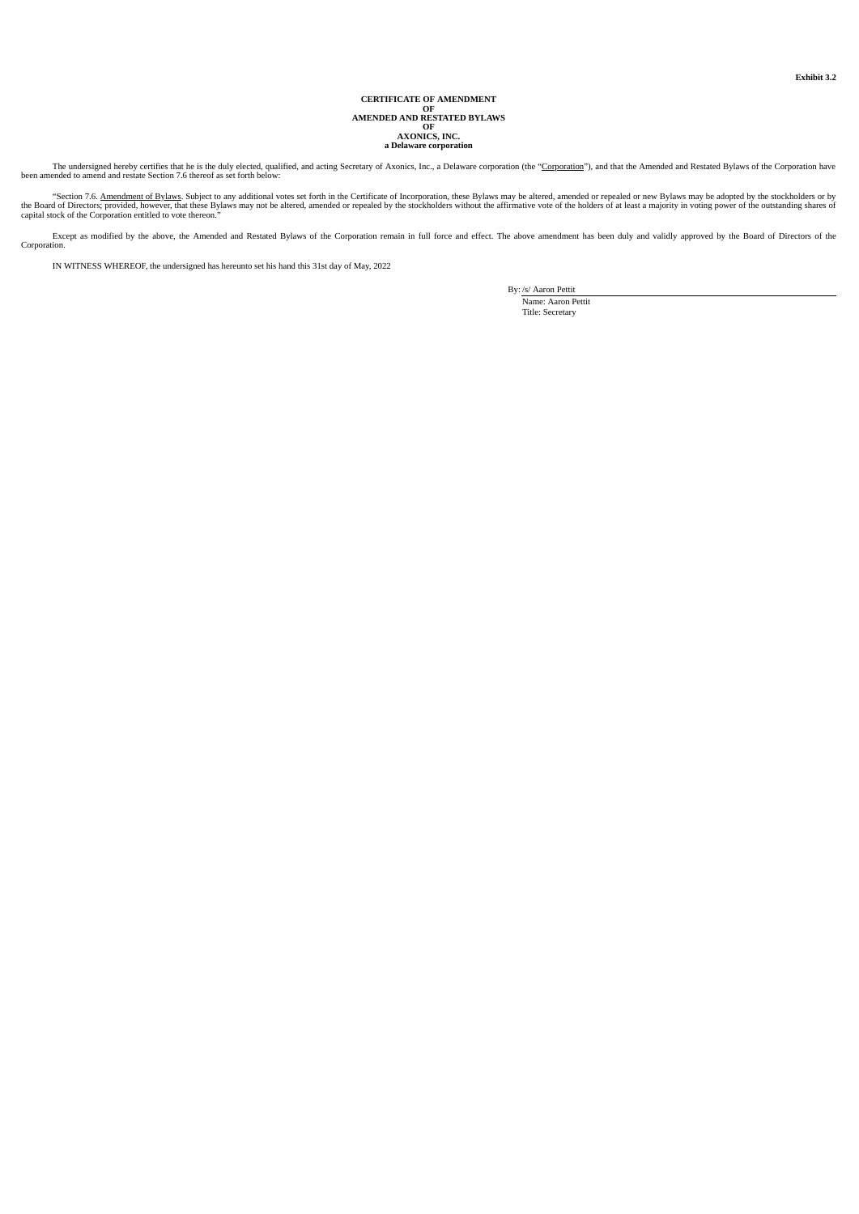# **CERTIFICATE OF AMENDMENT OF AMENDED AND RESTATED BYLAWS OF AXONICS, INC. a Delaware corporation**

<span id="page-7-0"></span>The undersigned hereby certifies that he is the duly elected, qualified, and acting Secretary of Axonics, Inc., a Delaware corporation (the "Corporation"), and that the Amended and Restated Bylaws of the Corporation have b

"Section 7.6. <u>Amendment of Bylaws</u>. Subject to any additional votes set forth in the Certificate of Incorporation, these Bylaws may be altered, amended or repealed or new Bylaws may be adopted by the stockholders or by<br>th

Except as modified by the above, the Amended and Restated Bylaws of the Corporation remain in full force and effect. The above amendment has been duly and validly approved by the Board of Directors of the Corporation.

IN WITNESS WHEREOF, the undersigned has hereunto set his hand this 31st day of May, 2022

By: /s/ Aaron Pettit

Name: Aaron Pettit Title: Secretary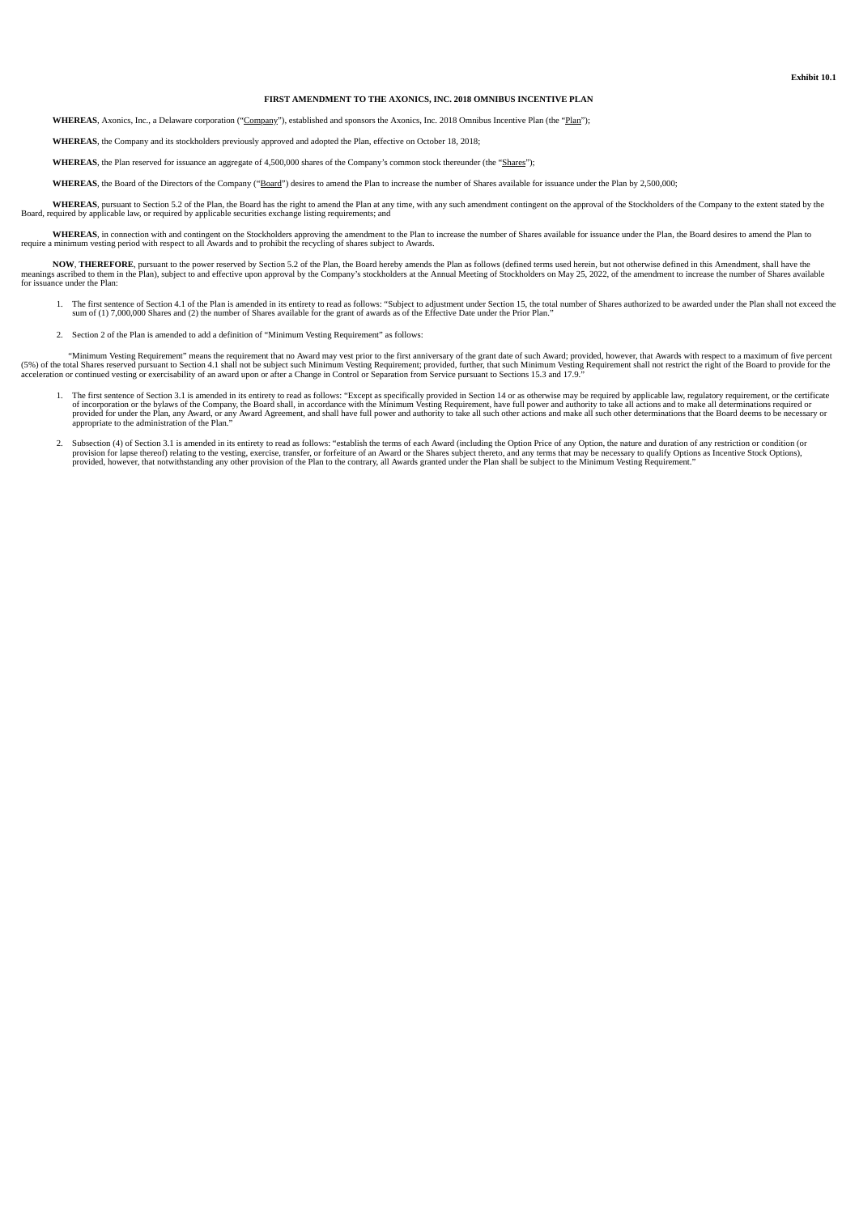#### **FIRST AMENDMENT TO THE AXONICS, INC. 2018 OMNIBUS INCENTIVE PLAN**

<span id="page-8-0"></span>WHEREAS, Axonics, Inc., a Delaware corporation ("Company"), established and sponsors the Axonics, Inc. 2018 Omnibus Incentive Plan (the "Plan");

**WHEREAS**, the Company and its stockholders previously approved and adopted the Plan, effective on October 18, 2018;

**WHEREAS**, the Plan reserved for issuance an aggregate of 4,500,000 shares of the Company's common stock thereunder (the "Shares");

WHEREAS, the Board of the Directors of the Company ("Board") desires to amend the Plan to increase the number of Shares available for issuance under the Plan by 2,500,000;

WHEREAS, pursuant to Section 5.2 of the Plan, the Board has the right to amend the Plan at any time, with any such amendment contingent on the approval of the Stockholders of the Company to the extent stated by the Board,

WHEREAS, in connection with and contingent on the Stockholders approving the amendment to the Plan to increase the number of Shares available for issuance under the Plan, the Board desires to amend the Plan to require a mi

NOW, THEREFORE, pursuant to the power reserved by Section 5.2 of the Plan, the Board hereby amends the Plan as follows (defined terms used herein, but not otherwise defined in this Amendment, shall have the meanings accrib

- 1. The first sentence of Section 4.1 of the Plan is amended in its entirety to read as follows: "Subject to adjustment under Section 15, the total number of Shares authorized to be awarded under the Plan shall not exceed t sum of (1) 7,000,000 Shares and (2) the number of Shares available for the grant of awards as of the Effective Date under the Prior Plan."
- 2. Section 2 of the Plan is amended to add a definition of "Minimum Vesting Requirement" as follows:

"Minimum Vesting Requirement" means the requirement that no Award may vest prior to the first anniversary of the grant date of such Award; provided, however, that Awards with respect to a maximum of five percent<br>(5%) of th

- 1. The first sentence of Section 3.1 is amended in its entirety to read as follows: "Except as specifically provided in Section 14 or as otherwise may be required by applicable law, regulatory requirement, or the certifica
- 2. Subsection (4) of Section 3.1 is amended in its entirety to read as follows: "establish the terms of each Award (including the Option Price of any Option, the nature and duration of any restriction or condition (or<br>prov